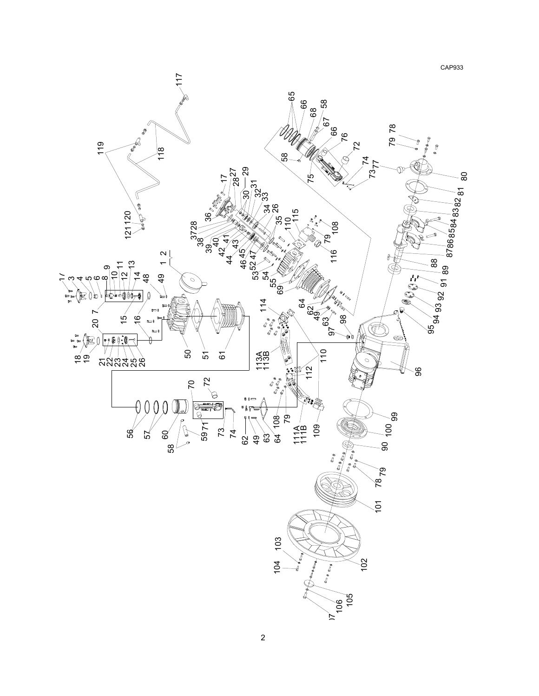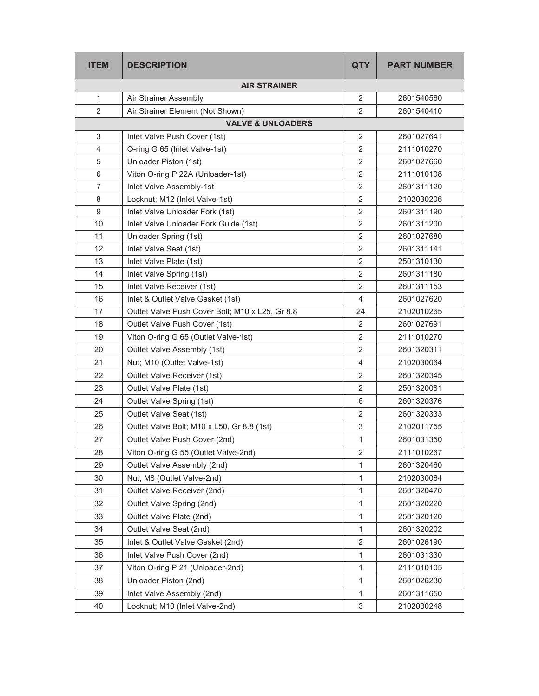| <b>ITEM</b>         | <b>DESCRIPTION</b>                              | <b>QTY</b>     | <b>PART NUMBER</b> |  |  |
|---------------------|-------------------------------------------------|----------------|--------------------|--|--|
| <b>AIR STRAINER</b> |                                                 |                |                    |  |  |
| 1                   | Air Strainer Assembly                           | 2              | 2601540560         |  |  |
| $\overline{2}$      | Air Strainer Element (Not Shown)                | $\overline{2}$ | 2601540410         |  |  |
|                     | <b>VALVE &amp; UNLOADERS</b>                    |                |                    |  |  |
| 3                   | Inlet Valve Push Cover (1st)                    | $\overline{2}$ | 2601027641         |  |  |
| 4                   | O-ring G 65 (Inlet Valve-1st)                   | 2              | 2111010270         |  |  |
| 5                   | Unloader Piston (1st)                           | 2              | 2601027660         |  |  |
| 6                   | Viton O-ring P 22A (Unloader-1st)               | $\overline{2}$ | 2111010108         |  |  |
| 7                   | Inlet Valve Assembly-1st                        | 2              | 2601311120         |  |  |
| 8                   | Locknut; M12 (Inlet Valve-1st)                  | $\overline{2}$ | 2102030206         |  |  |
| 9                   | Inlet Valve Unloader Fork (1st)                 | 2              | 2601311190         |  |  |
| 10                  | Inlet Valve Unloader Fork Guide (1st)           | $\overline{2}$ | 2601311200         |  |  |
| 11                  | Unloader Spring (1st)                           | 2              | 2601027680         |  |  |
| 12                  | Inlet Valve Seat (1st)                          | 2              | 2601311141         |  |  |
| 13                  | Inlet Valve Plate (1st)                         | 2              | 2501310130         |  |  |
| 14                  | Inlet Valve Spring (1st)                        | $\overline{2}$ | 2601311180         |  |  |
| 15                  | Inlet Valve Receiver (1st)                      | $\overline{2}$ | 2601311153         |  |  |
| 16                  | Inlet & Outlet Valve Gasket (1st)               | 4              | 2601027620         |  |  |
| 17                  | Outlet Valve Push Cover Bolt; M10 x L25, Gr 8.8 | 24             | 2102010265         |  |  |
| 18                  | Outlet Valve Push Cover (1st)                   | $\overline{2}$ | 2601027691         |  |  |
| 19                  | Viton O-ring G 65 (Outlet Valve-1st)            | $\overline{2}$ | 2111010270         |  |  |
| 20                  | Outlet Valve Assembly (1st)                     | $\overline{2}$ | 2601320311         |  |  |
| 21                  | Nut; M10 (Outlet Valve-1st)                     | $\overline{4}$ | 2102030064         |  |  |
| 22                  | Outlet Valve Receiver (1st)                     | 2              | 2601320345         |  |  |
| 23                  | Outlet Valve Plate (1st)                        | 2              | 2501320081         |  |  |
| 24                  | Outlet Valve Spring (1st)                       | 6              | 2601320376         |  |  |
| 25                  | Outlet Valve Seat (1st)                         | $\overline{2}$ | 2601320333         |  |  |
| 26                  | Outlet Valve Bolt; M10 x L50, Gr 8.8 (1st)      | 3              | 2102011755         |  |  |
| 27                  | Outlet Valve Push Cover (2nd)                   | $\mathbf{1}$   | 2601031350         |  |  |
| 28                  | Viton O-ring G 55 (Outlet Valve-2nd)            | $\overline{2}$ | 2111010267         |  |  |
| 29                  | Outlet Valve Assembly (2nd)                     | 1              | 2601320460         |  |  |
| 30                  | Nut; M8 (Outlet Valve-2nd)                      | $\mathbf{1}$   | 2102030064         |  |  |
| 31                  | Outlet Valve Receiver (2nd)                     | 1              | 2601320470         |  |  |
| 32                  | Outlet Valve Spring (2nd)                       | $\mathbf{1}$   | 2601320220         |  |  |
| 33                  | Outlet Valve Plate (2nd)                        | 1              | 2501320120         |  |  |
| 34                  | Outlet Valve Seat (2nd)                         | 1              | 2601320202         |  |  |
| 35                  | Inlet & Outlet Valve Gasket (2nd)               | 2              | 2601026190         |  |  |
| 36                  | Inlet Valve Push Cover (2nd)                    | 1              | 2601031330         |  |  |
| 37                  | Viton O-ring P 21 (Unloader-2nd)                | $\mathbf{1}$   | 2111010105         |  |  |
| 38                  | Unloader Piston (2nd)                           | 1              | 2601026230         |  |  |
| 39                  | Inlet Valve Assembly (2nd)                      | 1              | 2601311650         |  |  |
| 40                  | Locknut; M10 (Inlet Valve-2nd)                  | $\mathfrak{S}$ | 2102030248         |  |  |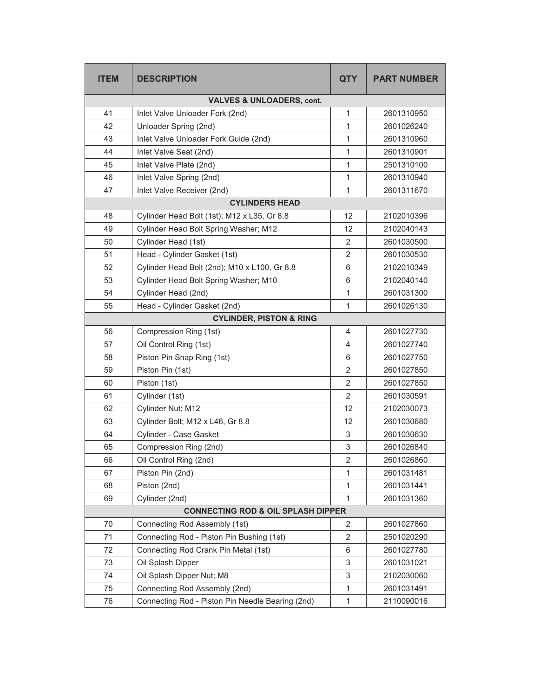| <b>ITEM</b> | <b>DESCRIPTION</b>                               | <b>QTY</b>              | <b>PART NUMBER</b> |
|-------------|--------------------------------------------------|-------------------------|--------------------|
|             | <b>VALVES &amp; UNLOADERS, cont.</b>             |                         |                    |
| 41          | Inlet Valve Unloader Fork (2nd)                  | 1                       | 2601310950         |
| 42          | Unloader Spring (2nd)                            | 1                       | 2601026240         |
| 43          | Inlet Valve Unloader Fork Guide (2nd)            | $\mathbf{1}$            | 2601310960         |
| 44          | Inlet Valve Seat (2nd)                           | $\mathbf{1}$            | 2601310901         |
| 45          | Inlet Valve Plate (2nd)                          | 1                       | 2501310100         |
| 46          | Inlet Valve Spring (2nd)                         | $\mathbf{1}$            | 2601310940         |
| 47          | Inlet Valve Receiver (2nd)                       | 1                       | 2601311670         |
|             | <b>CYLINDERS HEAD</b>                            |                         |                    |
| 48          | Cylinder Head Bolt (1st); M12 x L35, Gr 8.8      | 12                      | 2102010396         |
| 49          | Cylinder Head Bolt Spring Washer; M12            | 12                      | 2102040143         |
| 50          | Cylinder Head (1st)                              | 2                       | 2601030500         |
| 51          | Head - Cylinder Gasket (1st)                     | $\overline{\mathbf{c}}$ | 2601030530         |
| 52          | Cylinder Head Bolt (2nd); M10 x L100, Gr 8.8     | 6                       | 2102010349         |
| 53          | Cylinder Head Bolt Spring Washer; M10            | 6                       | 2102040140         |
| 54          | Cylinder Head (2nd)                              | 1                       | 2601031300         |
| 55          | Head - Cylinder Gasket (2nd)                     | 1                       | 2601026130         |
|             | <b>CYLINDER, PISTON &amp; RING</b>               |                         |                    |
| 56          | Compression Ring (1st)                           | 4                       | 2601027730         |
| 57          | Oil Control Ring (1st)                           | 4                       | 2601027740         |
| 58          | Piston Pin Snap Ring (1st)                       | 6                       | 2601027750         |
| 59          | Piston Pin (1st)                                 | $\overline{2}$          | 2601027850         |
| 60          | Piston (1st)                                     | $\overline{2}$          | 2601027850         |
| 61          | Cylinder (1st)                                   | $\overline{2}$          | 2601030591         |
| 62          | Cylinder Nut; M12                                | 12                      | 2102030073         |
| 63          | Cylinder Bolt; M12 x L46, Gr 8.8                 | 12                      | 2601030680         |
| 64          | Cylinder - Case Gasket                           | 3                       | 2601030630         |
| 65          | Compression Ring (2nd)                           | 3                       | 2601026840         |
| 66          | Oil Control Ring (2nd)                           | $\mathbf 2$             | 2601026860         |
| 67          | Piston Pin (2nd)                                 | 1                       | 2601031481         |
| 68          | Piston (2nd)                                     | 1                       | 2601031441         |
| 69          | Cylinder (2nd)                                   | 1                       | 2601031360         |
|             | <b>CONNECTING ROD &amp; OIL SPLASH DIPPER</b>    |                         |                    |
| 70          | Connecting Rod Assembly (1st)                    | 2                       | 2601027860         |
| 71          | Connecting Rod - Piston Pin Bushing (1st)        | $\overline{2}$          | 2501020290         |
| 72          | Connecting Rod Crank Pin Metal (1st)             | 6                       | 2601027780         |
| 73          | Oil Splash Dipper                                | 3                       | 2601031021         |
| 74          | Oil Splash Dipper Nut; M8                        | 3                       | 2102030060         |
| 75          | Connecting Rod Assembly (2nd)                    | $\mathbf{1}$            | 2601031491         |
| 76          | Connecting Rod - Piston Pin Needle Bearing (2nd) | $\mathbf{1}$            | 2110090016         |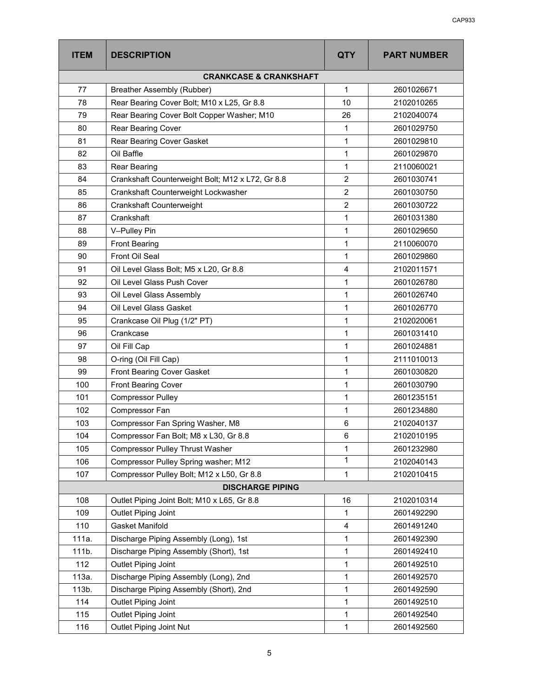| <b>ITEM</b> | <b>DESCRIPTION</b>                               | <b>QTY</b>     | <b>PART NUMBER</b> |
|-------------|--------------------------------------------------|----------------|--------------------|
|             | <b>CRANKCASE &amp; CRANKSHAFT</b>                |                |                    |
| 77          | Breather Assembly (Rubber)                       | 1              | 2601026671         |
| 78          | Rear Bearing Cover Bolt; M10 x L25, Gr 8.8       | 10             | 2102010265         |
| 79          | Rear Bearing Cover Bolt Copper Washer; M10       | 26             | 2102040074         |
| 80          | Rear Bearing Cover                               | 1              | 2601029750         |
| 81          | Rear Bearing Cover Gasket                        | 1              | 2601029810         |
| 82          | Oil Baffle                                       | 1              | 2601029870         |
| 83          | Rear Bearing                                     | 1              | 2110060021         |
| 84          | Crankshaft Counterweight Bolt; M12 x L72, Gr 8.8 | $\overline{2}$ | 2601030741         |
| 85          | Crankshaft Counterweight Lockwasher              | $\overline{2}$ | 2601030750         |
| 86          | Crankshaft Counterweight                         | $\overline{2}$ | 2601030722         |
| 87          | Crankshaft                                       | 1              | 2601031380         |
| 88          | V-Pulley Pin                                     | 1              | 2601029650         |
| 89          | <b>Front Bearing</b>                             | 1              | 2110060070         |
| 90          | Front Oil Seal                                   | 1              | 2601029860         |
| 91          | Oil Level Glass Bolt; M5 x L20, Gr 8.8           | $\overline{4}$ | 2102011571         |
| 92          | Oil Level Glass Push Cover                       | 1              | 2601026780         |
| 93          | Oil Level Glass Assembly                         | 1              | 2601026740         |
| 94          | Oil Level Glass Gasket                           | 1              | 2601026770         |
| 95          | Crankcase Oil Plug (1/2" PT)                     | 1              | 2102020061         |
| 96          | Crankcase                                        | 1              | 2601031410         |
| 97          | Oil Fill Cap                                     | 1              | 2601024881         |
| 98          | O-ring (Oil Fill Cap)                            | 1              | 2111010013         |
| 99          | Front Bearing Cover Gasket                       | 1              | 2601030820         |
| 100         | <b>Front Bearing Cover</b>                       | 1              | 2601030790         |
| 101         | <b>Compressor Pulley</b>                         | 1              | 2601235151         |
| 102         | Compressor Fan                                   | 1              | 2601234880         |
| 103         | Compressor Fan Spring Washer, M8                 | 6              | 2102040137         |
| 104         | Compressor Fan Bolt; M8 x L30, Gr 8.8            | 6              | 2102010195         |
| 105         | <b>Compressor Pulley Thrust Washer</b>           | 1              | 2601232980         |
| 106         | Compressor Pulley Spring washer; M12             | 1              | 2102040143         |
| 107         | Compressor Pulley Bolt; M12 x L50, Gr 8.8        | 1              | 2102010415         |
|             | <b>DISCHARGE PIPING</b>                          |                |                    |
| 108         | Outlet Piping Joint Bolt; M10 x L65, Gr 8.8      | 16             | 2102010314         |
| 109         | Outlet Piping Joint                              | 1              | 2601492290         |
| 110         | <b>Gasket Manifold</b>                           | 4              | 2601491240         |
| 111a.       | Discharge Piping Assembly (Long), 1st            | 1              | 2601492390         |
| 111b.       | Discharge Piping Assembly (Short), 1st           | 1              | 2601492410         |
| 112         | Outlet Piping Joint                              | 1              | 2601492510         |
| 113a.       | Discharge Piping Assembly (Long), 2nd            | 1              | 2601492570         |
| 113b.       | Discharge Piping Assembly (Short), 2nd           | 1              | 2601492590         |
| 114         | Outlet Piping Joint                              | 1              | 2601492510         |
| 115         | Outlet Piping Joint                              | 1              | 2601492540         |
| 116         | Outlet Piping Joint Nut                          | $\mathbf{1}$   | 2601492560         |
|             |                                                  |                |                    |